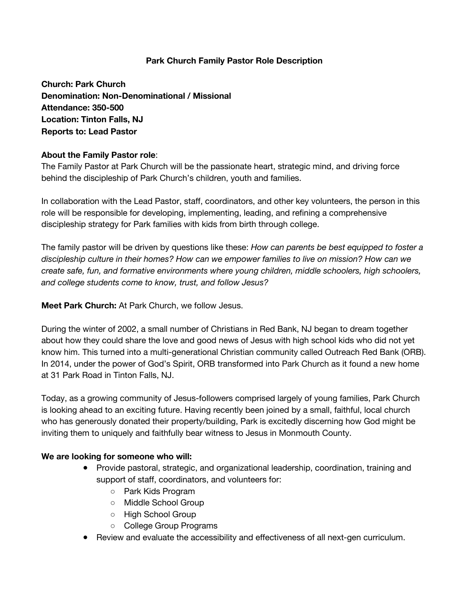# **Park Church Family Pastor Role Description**

**Church: Park Church Denomination: Non-Denominational / Missional Attendance: 350-500 Location: Tinton Falls, NJ Reports to: Lead Pastor** 

# **About the Family Pastor role**:

The Family Pastor at Park Church will be the passionate heart, strategic mind, and driving force behind the discipleship of Park Church's children, youth and families.

In collaboration with the Lead Pastor, staff, coordinators, and other key volunteers, the person in this role will be responsible for developing, implementing, leading, and refining a comprehensive discipleship strategy for Park families with kids from birth through college.

The family pastor will be driven by questions like these: *How can parents be best equipped to foster a discipleship culture in their homes? How can we empower families to live on mission? How can we create safe, fun, and formative environments where young children, middle schoolers, high schoolers, and college students come to know, trust, and follow Jesus?* 

**Meet Park Church:** At Park Church, we follow Jesus.

During the winter of 2002, a small number of Christians in Red Bank, NJ began to dream together about how they could share the love and good news of Jesus with high school kids who did not yet know him. This turned into a multi-generational Christian community called Outreach Red Bank (ORB). In 2014, under the power of God's Spirit, ORB transformed into Park Church as it found a new home at 31 Park Road in Tinton Falls, NJ.

Today, as a growing community of Jesus-followers comprised largely of young families, Park Church is looking ahead to an exciting future. Having recently been joined by a small, faithful, local church who has generously donated their property/building, Park is excitedly discerning how God might be inviting them to uniquely and faithfully bear witness to Jesus in Monmouth County.

## **We are looking for someone who will:**

- Provide pastoral, strategic, and organizational leadership, coordination, training and support of staff, coordinators, and volunteers for:
	- Park Kids Program
	- Middle School Group
	- High School Group
	- College Group Programs
- Review and evaluate the accessibility and effectiveness of all next-gen curriculum.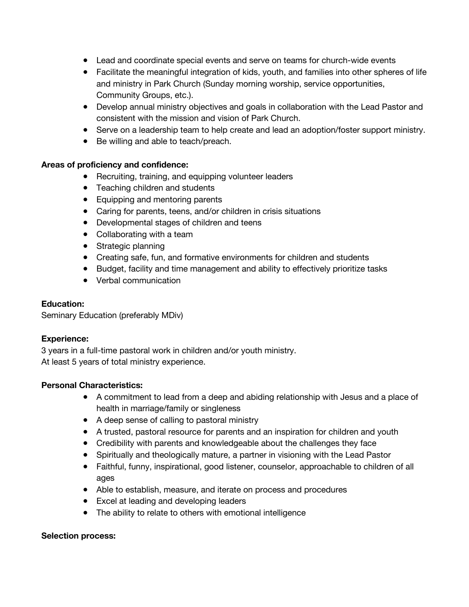- Lead and coordinate special events and serve on teams for church-wide events
- Facilitate the meaningful integration of kids, youth, and families into other spheres of life and ministry in Park Church (Sunday morning worship, service opportunities, Community Groups, etc.).
- Develop annual ministry objectives and goals in collaboration with the Lead Pastor and consistent with the mission and vision of Park Church.
- Serve on a leadership team to help create and lead an adoption/foster support ministry.
- Be willing and able to teach/preach.

#### **Areas of proficiency and confidence:**

- Recruiting, training, and equipping volunteer leaders
- Teaching children and students
- Equipping and mentoring parents
- Caring for parents, teens, and/or children in crisis situations
- Developmental stages of children and teens
- Collaborating with a team
- Strategic planning
- Creating safe, fun, and formative environments for children and students
- Budget, facility and time management and ability to effectively prioritize tasks
- Verbal communication

## **Education:**

Seminary Education (preferably MDiv)

#### **Experience:**

3 years in a full-time pastoral work in children and/or youth ministry. At least 5 years of total ministry experience.

## **Personal Characteristics:**

- A commitment to lead from a deep and abiding relationship with Jesus and a place of health in marriage/family or singleness
- A deep sense of calling to pastoral ministry
- A trusted, pastoral resource for parents and an inspiration for children and youth
- Credibility with parents and knowledgeable about the challenges they face
- Spiritually and theologically mature, a partner in visioning with the Lead Pastor
- Faithful, funny, inspirational, good listener, counselor, approachable to children of all ages
- Able to establish, measure, and iterate on process and procedures
- Excel at leading and developing leaders
- The ability to relate to others with emotional intelligence

#### **Selection process:**